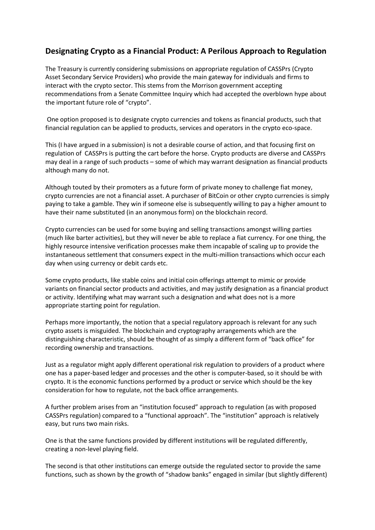## **Designating Crypto as a Financial Product: A Perilous Approach to Regulation**

The Treasury is currently considering submissions on appropriate regulation of CASSPrs (Crypto Asset Secondary Service Providers) who provide the main gateway for individuals and firms to interact with the crypto sector. This stems from the Morrison government accepting recommendations from a Senate Committee Inquiry which had accepted the overblown hype about the important future role of "crypto".

One option proposed is to designate crypto currencies and tokens as financial products, such that financial regulation can be applied to products, services and operators in the crypto eco-space.

This (I have argued in a submission) is not a desirable course of action, and that focusing first on regulation of CASSPrs is putting the cart before the horse. Crypto products are diverse and CASSPrs may deal in a range of such products – some of which may warrant designation as financial products although many do not.

Although touted by their promoters as a future form of private money to challenge fiat money, crypto currencies are not a financial asset. A purchaser of BitCoin or other crypto currencies is simply paying to take a gamble. They win if someone else is subsequently willing to pay a higher amount to have their name substituted (in an anonymous form) on the blockchain record.

Crypto currencies can be used for some buying and selling transactions amongst willing parties (much like barter activities), but they will never be able to replace a fiat currency. For one thing, the highly resource intensive verification processes make them incapable of scaling up to provide the instantaneous settlement that consumers expect in the multi-million transactions which occur each day when using currency or debit cards etc.

Some crypto products, like stable coins and initial coin offerings attempt to mimic or provide variants on financial sector products and activities, and may justify designation as a financial product or activity. Identifying what may warrant such a designation and what does not is a more appropriate starting point for regulation.

Perhaps more importantly, the notion that a special regulatory approach is relevant for any such crypto assets is misguided. The blockchain and cryptography arrangements which are the distinguishing characteristic, should be thought of as simply a different form of "back office" for recording ownership and transactions.

Just as a regulator might apply different operational risk regulation to providers of a product where one has a paper-based ledger and processes and the other is computer-based, so it should be with crypto. It is the economic functions performed by a product or service which should be the key consideration for how to regulate, not the back office arrangements.

A further problem arises from an "institution focused" approach to regulation (as with proposed CASSPrs regulation) compared to a "functional approach". The "institution" approach is relatively easy, but runs two main risks.

One is that the same functions provided by different institutions will be regulated differently, creating a non-level playing field.

The second is that other institutions can emerge outside the regulated sector to provide the same functions, such as shown by the growth of "shadow banks" engaged in similar (but slightly different)